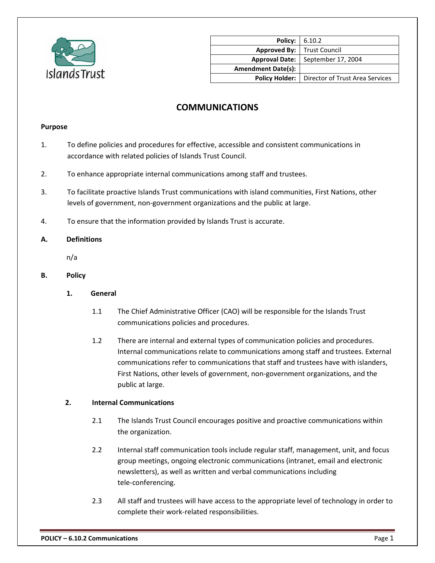

| <b>Policy:</b> 6.10.2     |                                 |
|---------------------------|---------------------------------|
| <b>Approved By:</b>       | <b>Trust Council</b>            |
| <b>Approval Date:</b>     | September 17, 2004              |
| <b>Amendment Date(s):</b> |                                 |
| <b>Policy Holder:</b>     | Director of Trust Area Services |

# **COMMUNICATIONS**

#### **Purpose**

- 1. To define policies and procedures for effective, accessible and consistent communications in accordance with related policies of Islands Trust Council.
- 2. To enhance appropriate internal communications among staff and trustees.
- 3. To facilitate proactive Islands Trust communications with island communities, First Nations, other levels of government, non-government organizations and the public at large.
- 4. To ensure that the information provided by Islands Trust is accurate.

### **A. Definitions**

n/a

- **B. Policy**
	- **1. General**
		- 1.1 The Chief Administrative Officer (CAO) will be responsible for the Islands Trust communications policies and procedures.
		- 1.2 There are internal and external types of communication policies and procedures. Internal communications relate to communications among staff and trustees. External communications refer to communications that staff and trustees have with islanders, First Nations, other levels of government, non-government organizations, and the public at large.

### **2. Internal Communications**

- 2.1 The Islands Trust Council encourages positive and proactive communications within the organization.
- 2.2 Internal staff communication tools include regular staff, management, unit, and focus group meetings, ongoing electronic communications (intranet, email and electronic newsletters), as well as written and verbal communications including tele-conferencing.
- 2.3 All staff and trustees will have access to the appropriate level of technology in order to complete their work-related responsibilities.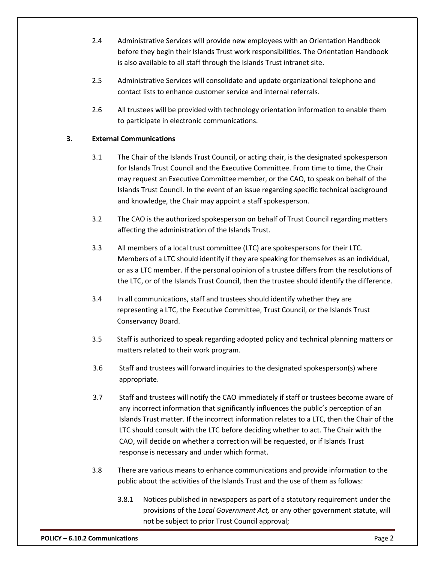- 2.4 Administrative Services will provide new employees with an Orientation Handbook before they begin their Islands Trust work responsibilities. The Orientation Handbook is also available to all staff through the Islands Trust intranet site.
- 2.5 Administrative Services will consolidate and update organizational telephone and contact lists to enhance customer service and internal referrals.
- 2.6 All trustees will be provided with technology orientation information to enable them to participate in electronic communications.

## **3. External Communications**

- 3.1 The Chair of the Islands Trust Council, or acting chair, is the designated spokesperson for Islands Trust Council and the Executive Committee. From time to time, the Chair may request an Executive Committee member, or the CAO, to speak on behalf of the Islands Trust Council. In the event of an issue regarding specific technical background and knowledge, the Chair may appoint a staff spokesperson.
- 3.2 The CAO is the authorized spokesperson on behalf of Trust Council regarding matters affecting the administration of the Islands Trust.
- 3.3 All members of a local trust committee (LTC) are spokespersons for their LTC. Members of a LTC should identify if they are speaking for themselves as an individual, or as a LTC member. If the personal opinion of a trustee differs from the resolutions of the LTC, or of the Islands Trust Council, then the trustee should identify the difference.
- 3.4 In all communications, staff and trustees should identify whether they are representing a LTC, the Executive Committee, Trust Council, or the Islands Trust Conservancy Board.
- 3.5 Staff is authorized to speak regarding adopted policy and technical planning matters or matters related to their work program.
- 3.6 Staff and trustees will forward inquiries to the designated spokesperson(s) where appropriate.
- 3.7 Staff and trustees will notify the CAO immediately if staff or trustees become aware of any incorrect information that significantly influences the public's perception of an Islands Trust matter. If the incorrect information relates to a LTC, then the Chair of the LTC should consult with the LTC before deciding whether to act. The Chair with the CAO, will decide on whether a correction will be requested, or if Islands Trust response is necessary and under which format.
- 3.8 There are various means to enhance communications and provide information to the public about the activities of the Islands Trust and the use of them as follows:
	- 3.8.1 Notices published in newspapers as part of a statutory requirement under the provisions of the *Local Government Act,* or any other government statute, will not be subject to prior Trust Council approval;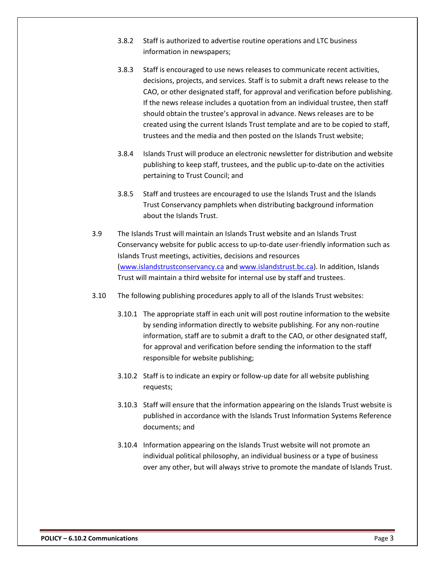- 3.8.2 Staff is authorized to advertise routine operations and LTC business information in newspapers;
- 3.8.3 Staff is encouraged to use news releases to communicate recent activities, decisions, projects, and services. Staff is to submit a draft news release to the CAO, or other designated staff, for approval and verification before publishing. If the news release includes a quotation from an individual trustee, then staff should obtain the trustee's approval in advance. News releases are to be created using the current Islands Trust template and are to be copied to staff, trustees and the media and then posted on the Islands Trust website;
- 3.8.4 Islands Trust will produce an electronic newsletter for distribution and website publishing to keep staff, trustees, and the public up-to-date on the activities pertaining to Trust Council; and
- 3.8.5 Staff and trustees are encouraged to use the Islands Trust and the Islands Trust Conservancy pamphlets when distributing background information about the Islands Trust.
- 3.9 The Islands Trust will maintain an Islands Trust website and an Islands Trust Conservancy website for public access to up-to-date user-friendly information such as Islands Trust meetings, activities, decisions and resources [\(www.islandstrustconservancy.ca](http://www.islandstrustconservancy.ca/) and [www.islandstrust.bc.ca\)](http://www.islandstrust.bc.ca/). In addition, Islands Trust will maintain a third website for internal use by staff and trustees.
- 3.10 The following publishing procedures apply to all of the Islands Trust websites:
	- 3.10.1 The appropriate staff in each unit will post routine information to the website by sending information directly to website publishing. For any non-routine information, staff are to submit a draft to the CAO, or other designated staff, for approval and verification before sending the information to the staff responsible for website publishing;
	- 3.10.2 Staff is to indicate an expiry or follow-up date for all website publishing requests;
	- 3.10.3 Staff will ensure that the information appearing on the Islands Trust website is published in accordance with the Islands Trust Information Systems Reference documents; and
	- 3.10.4 Information appearing on the Islands Trust website will not promote an individual political philosophy, an individual business or a type of business over any other, but will always strive to promote the mandate of Islands Trust.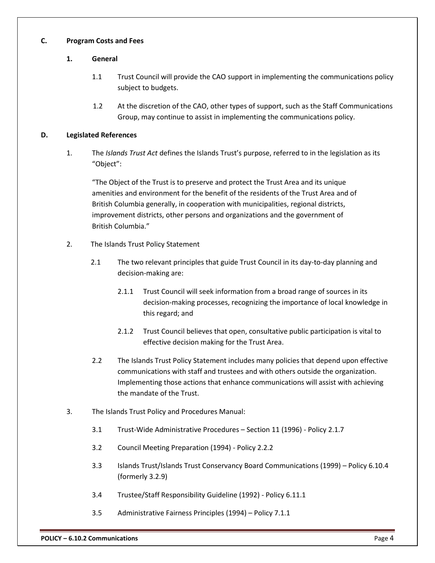### **C. Program Costs and Fees**

### **1. General**

- 1.1 Trust Council will provide the CAO support in implementing the communications policy subject to budgets.
- 1.2 At the discretion of the CAO, other types of support, such as the Staff Communications Group, may continue to assist in implementing the communications policy.

### **D. Legislated References**

1. The *Islands Trust Act* defines the Islands Trust's purpose, referred to in the legislation as its "Object":

"The Object of the Trust is to preserve and protect the Trust Area and its unique amenities and environment for the benefit of the residents of the Trust Area and of British Columbia generally, in cooperation with municipalities, regional districts, improvement districts, other persons and organizations and the government of British Columbia."

- 2. The Islands Trust Policy Statement
	- 2.1 The two relevant principles that guide Trust Council in its day-to-day planning and decision-making are:
		- 2.1.1 Trust Council will seek information from a broad range of sources in its decision-making processes, recognizing the importance of local knowledge in this regard; and
		- 2.1.2 Trust Council believes that open, consultative public participation is vital to effective decision making for the Trust Area.
	- 2.2 The Islands Trust Policy Statement includes many policies that depend upon effective communications with staff and trustees and with others outside the organization. Implementing those actions that enhance communications will assist with achieving the mandate of the Trust.
- 3. The Islands Trust Policy and Procedures Manual:
	- 3.1 Trust-Wide Administrative Procedures Section 11 (1996) Policy 2.1.7
	- 3.2 Council Meeting Preparation (1994) Policy 2.2.2
	- 3.3 Islands Trust/Islands Trust Conservancy Board Communications (1999) Policy 6.10.4 (formerly 3.2.9)
	- 3.4 Trustee/Staff Responsibility Guideline (1992) Policy 6.11.1
	- 3.5 Administrative Fairness Principles (1994) Policy 7.1.1